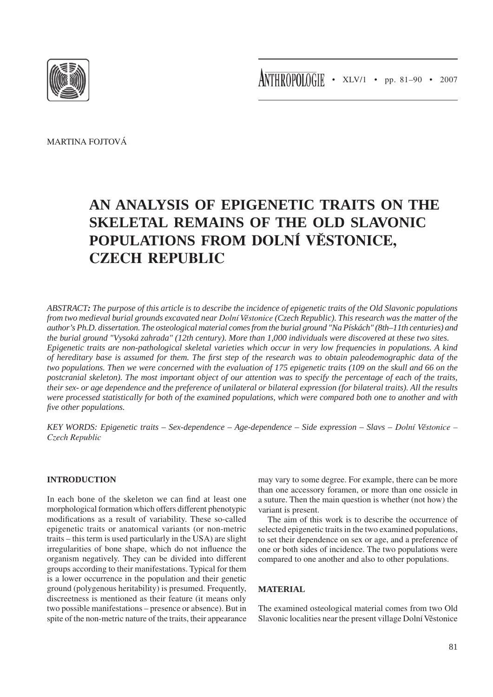ANTHROPOLOGIE • XLV/1 • pp. 81-90 • 2007



Martina Fojtová

# **An analysis of epigenetic traits on the skeletal remains of the Old Slavonic populations from Dolní Věstonice, czech republic**

*ABSTRACT: The purpose of this article is to describe the incidence of epigenetic traits of the Old Slavonic populations from two medieval burial grounds excavated near Dolní Věstonice (Czech Republic). This research was the matter of the author's Ph.D. dissertation. The osteological material comes from the burial ground "Na Pískách" (8th–11th centuries) and the burial ground "Vysoká zahrada" (12th century). More than 1,000 individuals were discovered at these two sites. Epigenetic traits are non-pathological skeletal varieties which occur in very low frequencies in populations. A kind of hereditary base is assumed for them. The first step of the research was to obtain paleodemographic data of the two populations. Then we were concerned with the evaluation of 175 epigenetic traits (109 on the skull and 66 on the postcranial skeleton). The most important object of our attention was to specify the percentage of each of the traits, their sex- or age dependence and the preference of unilateral or bilateral expression (for bilateral traits). All the results were processed statistically for both of the examined populations, which were compared both one to another and with five other populations.*

*key words: Epigenetic traits – Sex-dependence – Age-dependence – Side expression – Slavs – Dolní Věstonice – Czech Republic*

## **INTRODUCTION**

In each bone of the skeleton we can find at least one morphological formation which offers different phenotypic modifications as a result of variability. These so-called epigenetic traits or anatomical variants (or non-metric traits – this term is used particularly in the USA) are slight irregularities of bone shape, which do not influence the organism negatively. They can be divided into different groups according to their manifestations. Typical for them is a lower occurrence in the population and their genetic ground (polygenous heritability) is presumed. Frequently, discreetness is mentioned as their feature (it means only two possible manifestations – presence or absence). But in spite of the non-metric nature of the traits, their appearance

may vary to some degree. For example, there can be more than one accessory foramen, or more than one ossicle in a suture. Then the main question is whether (not how) the variant is present.

The aim of this work is to describe the occurrence of selected epigenetic traits in the two examined populations, to set their dependence on sex or age, and a preference of one or both sides of incidence. The two populations were compared to one another and also to other populations.

## **MATERIAL**

The examined osteological material comes from two Old Slavonic localities near the present village Dolní Věstonice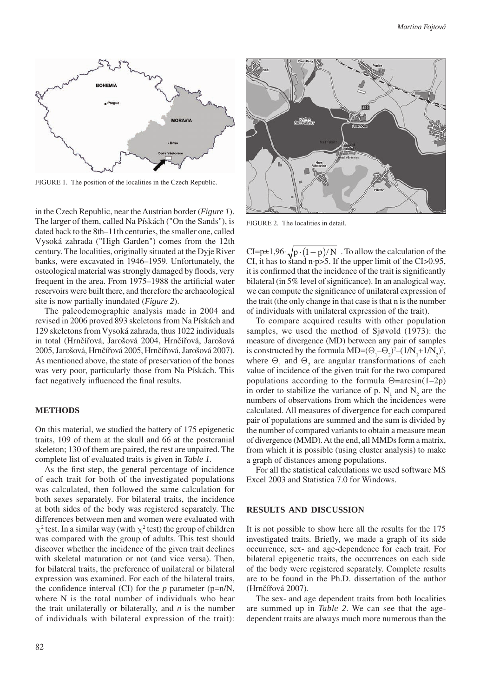

FIGURE 1. The position of the localities in the Czech Republic.

in the Czech Republic, near the Austrian border (*Figure 1*). The larger of them, called Na Pískách ("On the Sands"), is dated back to the 8th–11th centuries, the smaller one, called Vysoká zahrada ("High Garden") comes from the 12th century. The localities, originally situated at the Dyje River banks, were excavated in 1946–1959. Unfortunately, the osteological material was strongly damaged by floods, very frequent in the area. From 1975–1988 the artificial water reservoirs were built there, and therefore the archaeological site is now partially inundated (*Figure 2*).

The paleodemographic analysis made in 2004 and revised in 2006 proved 893 skeletons from Na Pískách and 129 skeletons from Vysoká zahrada, thus 1022 individuals in total (Hrnčířová, Jarošová 2004, Hrnčířová, Jarošová 2005, Jarošová, Hrnčířová 2005, Hrnčířová, Jarošová 2007). As mentioned above, the state of preservation of the bones was very poor, particularly those from Na Pískách. This fact negatively influenced the final results.

#### **methods**

On this material, we studied the battery of 175 epigenetic traits, 109 of them at the skull and 66 at the postcranial skeleton; 130 of them are paired, the rest are unpaired. The complete list of evaluated traits is given in *Table 1*.

As the first step, the general percentage of incidence of each trait for both of the investigated populations was calculated, then followed the same calculation for both sexes separately. For bilateral traits, the incidence at both sides of the body was registered separately. The differences between men and women were evaluated with  $\chi^2$  test. In a similar way (with  $\chi^2$  test) the group of children was compared with the group of adults. This test should discover whether the incidence of the given trait declines with skeletal maturation or not (and vice versa). Then, for bilateral traits, the preference of unilateral or bilateral expression was examined. For each of the bilateral traits, the confidence interval (CI) for the  $p$  parameter ( $p=n/N$ , where N is the total number of individuals who bear the trait unilaterally or bilaterally, and *n* is the number of individuals with bilateral expression of the trait):



FIGURE 2. The localities in detail.

CI=p $\pm 1,96 \cdot \sqrt{p\cdot(1-p)/N}$ . To allow the calculation of the CI, it has to stand n·p>5. If the upper limit of the CI>0.95, it is confirmed that the incidence of the trait is significantly bilateral (in 5% level of significance). In an analogical way, we can compute the significance of unilateral expression of the trait (the only change in that case is that n is the number of individuals with unilateral expression of the trait).

To compare acquired results with other population samples, we used the method of Sjøvold (1973): the measure of divergence (MD) between any pair of samples is constructed by the formula MD= $(\Theta_1 - \Theta_2)^2 - (1/N_1 + 1/N_2)^2$ , where  $\Theta_1$  and  $\Theta_2$  are angular transformations of each value of incidence of the given trait for the two compared populations according to the formula  $\Theta = \arcsin(1-2p)$ in order to stabilize the variance of p.  $N_1$  and  $N_2$  are the numbers of observations from which the incidences were calculated. All measures of divergence for each compared pair of populations are summed and the sum is divided by the number of compared variants to obtain a measure mean of divergence (MMD). At the end, all MMDs form a matrix, from which it is possible (using cluster analysis) to make a graph of distances among populations.

For all the statistical calculations we used software MS Excel 2003 and Statistica 7.0 for Windows.

#### **RESULTS AND DISCUSSION**

It is not possible to show here all the results for the 175 investigated traits. Briefly, we made a graph of its side occurrence, sex- and age-dependence for each trait. For bilateral epigenetic traits, the occurrences on each side of the body were registered separately. Complete results are to be found in the Ph.D. dissertation of the author (Hrnčířová 2007).

The sex- and age dependent traits from both localities are summed up in *Table 2*. We can see that the agedependent traits are always much more numerous than the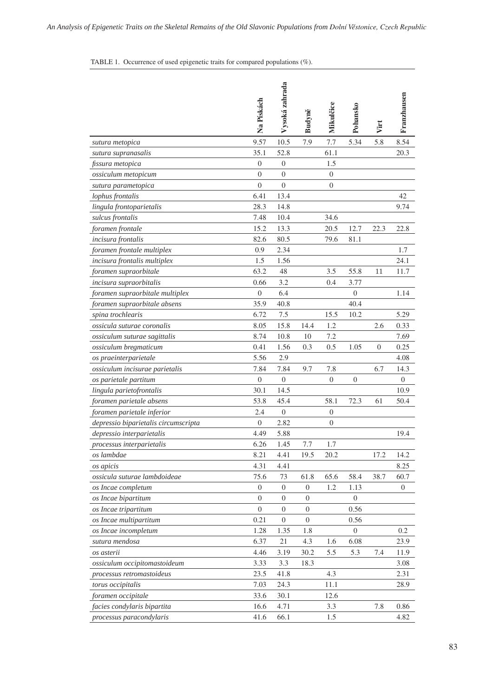# TABLE 1. Occurrence of used epigenetic traits for compared populations (%).

|                                      | Na Pískách       | Vysoká zahrada   | Budyně           | Mikulčice      | Pohansko         | Virt | Franzhausen      |
|--------------------------------------|------------------|------------------|------------------|----------------|------------------|------|------------------|
| sutura metopica                      | 9.57             | 10.5             | 7.9              | 7.7            | 5.34             | 5.8  | 8.54             |
| sutura supranasalis                  | 35.1             | 52.8             |                  | 61.1           |                  |      | 20.3             |
| fissura metopica                     | $\overline{0}$   | $\overline{0}$   |                  | 1.5            |                  |      |                  |
| ossiculum metopicum                  | $\overline{0}$   | $\boldsymbol{0}$ |                  | $\mathbf{0}$   |                  |      |                  |
| sutura parametopica                  | $\overline{0}$   | $\overline{0}$   |                  | 0              |                  |      |                  |
| lophus frontalis                     | 6.41             | 13.4             |                  |                |                  |      | 42               |
| lingula frontoparietalis             | 28.3             | 14.8             |                  |                |                  |      | 9.74             |
| sulcus frontalis                     | 7.48             | 10.4             |                  | 34.6           |                  |      |                  |
| foramen frontale                     | 15.2             | 13.3             |                  | 20.5           | 12.7             | 22.3 | 22.8             |
| incisura frontalis                   | 82.6             | 80.5             |                  | 79.6           | 81.1             |      |                  |
| foramen frontale multiplex           | 0.9              | 2.34             |                  |                |                  |      | 1.7              |
| incisura frontalis multiplex         | 1.5              | 1.56             |                  |                |                  |      | 24.1             |
| foramen supraorbitale                | 63.2             | 48               |                  | 3.5            | 55.8             | 11   | 11.7             |
| incisura supraorbitalis              | 0.66             | 3.2              |                  | 0.4            | 3.77             |      |                  |
| foramen supraorbitale multiplex      | $\boldsymbol{0}$ | 6.4              |                  |                | $\overline{0}$   |      | 1.14             |
| foramen supraorbitale absens         | 35.9             | 40.8             |                  |                | 40.4             |      |                  |
| spina trochlearis                    | 6.72             | 7.5              |                  | 15.5           | 10.2             |      | 5.29             |
| ossicula suturae coronalis           | 8.05             | 15.8             | 14.4             | 1.2            |                  | 2.6  | 0.33             |
| ossiculum suturae sagittalis         | 8.74             | 10.8             | 10               | 7.2            |                  |      | 7.69             |
| ossiculum bregmaticum                | 0.41             | 1.56             | 0.3              | 0.5            | 1.05             | 0    | 0.25             |
| os praeinterparietale                | 5.56             | 2.9              |                  |                |                  |      | 4.08             |
| ossiculum incisurae parietalis       | 7.84             | 7.84             | 9.7              | 7.8            |                  | 6.7  | 14.3             |
| os parietale partitum                | $\boldsymbol{0}$ | $\boldsymbol{0}$ |                  | $\overline{0}$ | $\overline{0}$   |      | $\overline{0}$   |
| lingula parietofrontalis             | 30.1             | 14.5             |                  |                |                  |      | 10.9             |
| foramen parietale absens             | 53.8             | 45.4             |                  | 58.1           | 72.3             | 61   | 50.4             |
| foramen parietale inferior           | 2.4              | $\mathbf{0}$     |                  | 0              |                  |      |                  |
| depressio biparietalis circumscripta | $\theta$         | 2.82             |                  | 0              |                  |      |                  |
| depressio interparietalis            | 4.49             | 5.88             |                  |                |                  |      | 19.4             |
| processus interparietalis            | 6.26             | 1.45             | 7.7              | 1.7            |                  |      |                  |
| os lambdae                           | 8.21             | 4.41             | 19.5             | 20.2           |                  | 17.2 | 14.2             |
| os apicis                            | 4.31             | 4.41             |                  |                |                  |      | 8.25             |
| ossicula suturae lambdoideae         | 75.6             | 73               | 61.8             | 65.6           | 58.4             | 38.7 | 60.7             |
| os Incae completum                   | $\boldsymbol{0}$ | 0                | $\mathbf{0}$     | 1.2            | 1.13             |      | $\boldsymbol{0}$ |
| os Incae bipartitum                  | $\boldsymbol{0}$ | 0                | $\boldsymbol{0}$ |                | $\boldsymbol{0}$ |      |                  |
| os Incae tripartitum                 | $\overline{0}$   | $\boldsymbol{0}$ | $\boldsymbol{0}$ |                | 0.56             |      |                  |
| os Incae multipartitum               | 0.21             | 0                | $\overline{0}$   |                | 0.56             |      |                  |
| os Incae incompletum                 | 1.28             | 1.35             | 1.8              |                | $\mathbf{0}$     |      | 0.2              |
| sutura mendosa                       | 6.37             | 21               | 4.3              | 1.6            | 6.08             |      | 23.9             |
| os asterii                           | 4.46             | 3.19             | 30.2             | 5.5            | 5.3              | 7.4  | 11.9             |
| ossiculum occipitomastoideum         | 3.33             | 3.3              | 18.3             |                |                  |      | 3.08             |
| processus retromastoideus            | 23.5             | 41.8             |                  | 4.3            |                  |      | 2.31             |
| torus occipitalis                    | 7.03             | 24.3             |                  | 11.1           |                  |      | 28.9             |
| foramen occipitale                   | 33.6             | 30.1             |                  | 12.6           |                  |      |                  |
| facies condylaris bipartita          | 16.6             | 4.71             |                  | 3.3            |                  | 7.8  | 0.86             |
| processus paracondylaris             | 41.6             | 66.1             |                  | 1.5            |                  |      | 4.82             |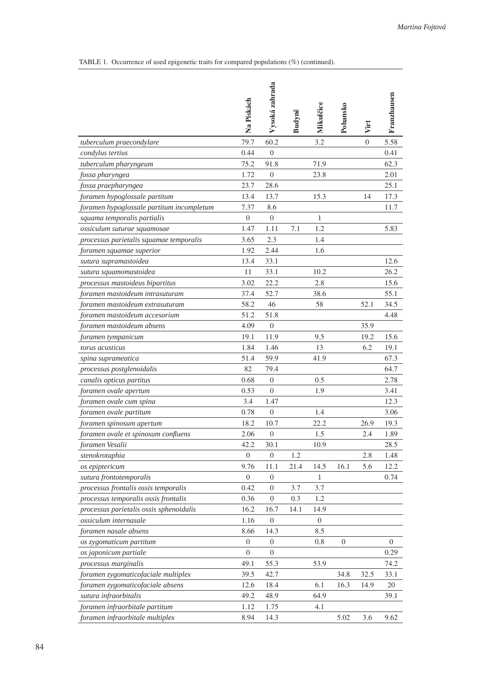TABLE 1. Occurrence of used epigenetic traits for compared populations (%) (continued).

|                                           | Na Pískách       | Vysoká zahrada   | Budyně | Mikulčice        | Pohansko         | Virt           | Franzhausen    |
|-------------------------------------------|------------------|------------------|--------|------------------|------------------|----------------|----------------|
| tuberculum praecondylare                  | 79.7             | 60.2             |        | 3.2              |                  | $\overline{0}$ | 5.58           |
| condylus tertius                          | 0.44             | $\overline{0}$   |        |                  |                  |                | 0.41           |
| tuberculum pharyngeum                     | 75.2             | 91.8             |        | 71.9             |                  |                | 62.3           |
| fossa pharyngea                           | 1.72             | $\theta$         |        | 23.8             |                  |                | 2.01           |
| fossa praepharyngea                       | 23.7             | 28.6             |        |                  |                  |                | 25.1           |
| foramen hypoglossale partitum             | 13.4             | 13.7             |        | 15.3             |                  | 14             | 17.3           |
| foramen hypoglossale partitum incompletum | 7.37             | 8.6              |        |                  |                  |                | 11.7           |
| squama temporalis partialis               | $\overline{0}$   | $\overline{0}$   |        | 1                |                  |                |                |
| ossiculum suturae squamosae               | 1.47             | 1.11             | 7.1    | 1.2              |                  |                | 5.83           |
| processus parietalis squamae temporalis   | 3.65             | 2.3              |        | 1.4              |                  |                |                |
| foramen squamae superior                  | 1.92             | 2.44             |        | 1.6              |                  |                |                |
| sutura supramastoidea                     | 13.4             | 33.1             |        |                  |                  |                | 12.6           |
| sutura squamomastoidea                    | 11               | 33.1             |        | 10.2             |                  |                | 26.2           |
| processus mastoideus bipartitus           | 3.02             | 22.2             |        | 2.8              |                  |                | 15.6           |
| foramen mastoideum intrasuturam           | 37.4             | 52.7             |        | 38.6             |                  |                | 55.1           |
| foramen mastoideum extrasuturam           | 58.2             | 46               |        | 58               |                  | 52.1           | 34.5           |
| foramen mastoideum accesorium             | 51.2             | 51.8             |        |                  |                  |                | 4.48           |
| foramen mastoideum absens                 | 4.09             | $\boldsymbol{0}$ |        |                  |                  | 35.9           |                |
| foramen tympanicum                        | 19.1             | 11.9             |        | 9.5              |                  | 19.2           | 15.6           |
| torus acusticus                           | 1.84             | 1.46             |        | 13               |                  | 6.2            | 19.1           |
| spina suprameatica                        | 51.4             | 59.9             |        | 41.9             |                  |                | 67.3           |
| processus postglenoidalis                 | 82               | 79.4             |        |                  |                  |                | 64.7           |
| canalis opticus partitus                  | 0.68             | $\mathbf{0}$     |        | 0.5              |                  |                | 2.78           |
| foramen ovale apertum                     | 0.53             | $\overline{0}$   |        | 1.9              |                  |                | 3.41           |
| foramen ovale cum spina                   | 3.4              | 1.47             |        |                  |                  |                | 12.3           |
| foramen ovale partitum                    | 0.78             | $\overline{0}$   |        | 1.4              |                  |                | 3.06           |
| foramen spinosum apertum                  | 18.2             | 10.7             |        | 22.2             |                  | 26.9           | 19.3           |
| foramen ovale et spinosum confluens       | 2.06             | $\boldsymbol{0}$ |        | 1.5              |                  | 2.4            | 1.89           |
| foramen Vesalii                           | 42.2             | 30.1             |        | 10.9             |                  |                | 28.5           |
| stenokrotaphia                            | $\boldsymbol{0}$ | $\boldsymbol{0}$ | 1.2    |                  |                  | 2.8            | 1.48           |
| os epiptericum                            | 9.76             | 11.1             | 21.4   | 14.5             | 16.1             | 5.6            | 12.2           |
| sutura frontotemporalis                   | $\boldsymbol{0}$ | $\mathbf{0}$     |        | 1                |                  |                | 0.74           |
| processus frontalis ossis temporalis      | 0.42             | $\boldsymbol{0}$ | 3.7    | 3.7              |                  |                |                |
| processus temporalis ossis frontalis      | 0.36             | $\mathbf{0}$     | 0.3    | 1.2              |                  |                |                |
| processus parietalis ossis sphenoidalis   | 16.2             | 16.7             | 14.1   | 14.9             |                  |                |                |
| ossiculum internasale                     | 1.16             | $\boldsymbol{0}$ |        | $\boldsymbol{0}$ |                  |                |                |
| foramen nasale absens                     | 8.66             | 14.3             |        | 8.5              |                  |                |                |
| os zygomaticum partitum                   | $\overline{0}$   | $\boldsymbol{0}$ |        | 0.8              | $\boldsymbol{0}$ |                | $\overline{0}$ |
| os japonicum partiale                     | $\overline{0}$   | $\boldsymbol{0}$ |        |                  |                  |                | 0.29           |
| processus marginalis                      | 49.1             | 55.3             |        | 53.9             |                  |                | 74.2           |
| foramen zygomaticofaciale multiplex       | 39.5             | 42.7             |        |                  | 34.8             | 32.5           | 33.1           |
| foramen zygomaticofaciale absens          | 12.6             | 18.4             |        | 6.1              | 16.3             | 14.9           | 20             |
| sutura infraorbitalis                     | 49.2             | 48.9             |        | 64.9             |                  |                | 39.1           |
| foramen infraorbitale partitum            | 1.12             | 1.75             |        | 4.1              |                  |                |                |
| foramen infraorbitale multiplex           | 8.94             | 14.3             |        |                  | 5.02             | 3.6            | 9.62           |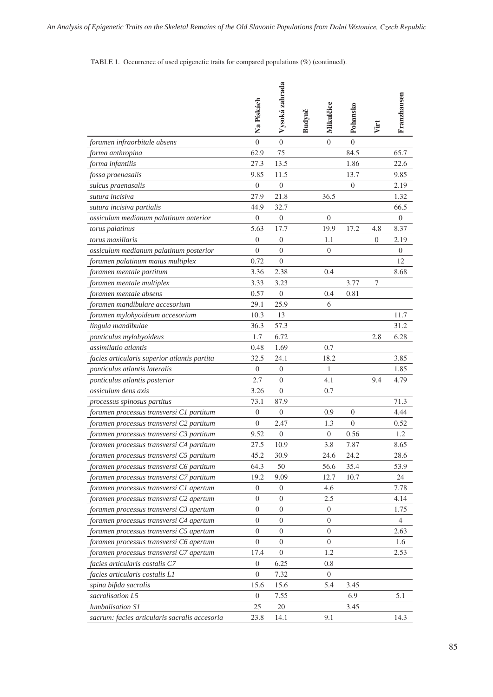TABLE 1. Occurrence of used epigenetic traits for compared populations (%) (continued).

|                                               | Na Pískách       | Vysoká zahrada   | Budyně | Mikulčice      | Pohansko       | Virt | Franzhausen |
|-----------------------------------------------|------------------|------------------|--------|----------------|----------------|------|-------------|
| foramen infraorbitale absens                  | $\overline{0}$   | $\overline{0}$   |        | $\theta$       | $\overline{0}$ |      |             |
| forma anthropina                              | 62.9             | 75               |        |                | 84.5           |      | 65.7        |
| forma infantilis                              | 27.3             | 13.5             |        |                | 1.86           |      | 22.6        |
| fossa praenasalis                             | 9.85             | 11.5             |        |                | 13.7           |      | 9.85        |
| sulcus praenasalis                            | $\boldsymbol{0}$ | $\overline{0}$   |        |                | $\overline{0}$ |      | 2.19        |
| sutura incisiva                               | 27.9             | 21.8             |        | 36.5           |                |      | 1.32        |
| sutura incisiva partialis                     | 44.9             | 32.7             |        |                |                |      | 66.5        |
| ossiculum medianum palatinum anterior         | $\boldsymbol{0}$ | $\mathbf{0}$     |        | $\overline{0}$ |                |      | $\theta$    |
| torus palatinus                               | 5.63             | 17.7             |        | 19.9           | 17.2           | 4.8  | 8.37        |
| torus maxillaris                              | $\overline{0}$   | $\mathbf{0}$     |        | 1.1            |                | 0    | 2.19        |
| ossiculum medianum palatinum posterior        | $\overline{0}$   | $\boldsymbol{0}$ |        | $\theta$       |                |      | $\theta$    |
| foramen palatinum maius multiplex             | 0.72             | $\overline{0}$   |        |                |                |      | 12          |
| foramen mentale partitum                      | 3.36             | 2.38             |        | 0.4            |                |      | 8.68        |
| foramen mentale multiplex                     | 3.33             | 3.23             |        |                | 3.77           | 7    |             |
| foramen mentale absens                        | 0.57             | $\mathbf{0}$     |        | 0.4            | 0.81           |      |             |
| foramen mandibulare accesorium                | 29.1             | 25.9             |        | 6              |                |      |             |
| foramen mylohyoideum accesorium               | 10.3             | 13               |        |                |                |      | 11.7        |
| lingula mandibulae                            | 36.3             | 57.3             |        |                |                |      | 31.2        |
| ponticulus mylohyoideus                       | 1.7              | 6.72             |        |                |                | 2.8  | 6.28        |
| assimilatio atlantis                          | 0.48             | 1.69             |        | 0.7            |                |      |             |
| facies articularis superior atlantis partita  | 32.5             | 24.1             |        | 18.2           |                |      | 3.85        |
| ponticulus atlantis lateralis                 | $\boldsymbol{0}$ | $\overline{0}$   |        | 1              |                |      | 1.85        |
| ponticulus atlantis posterior                 | 2.7              | $\theta$         |        | 4.1            |                | 9.4  | 4.79        |
| ossiculum dens axis                           | 3.26             | $\overline{0}$   |        | 0.7            |                |      |             |
| processus spinosus partitus                   | 73.1             | 87.9             |        |                |                |      | 71.3        |
| foramen processus transversi C1 partitum      | $\overline{0}$   | $\mathbf{0}$     |        | 0.9            | $\theta$       |      | 4.44        |
| foramen processus transversi C2 partitum      | $\overline{0}$   | 2.47             |        | 1.3            | $\theta$       |      | 0.52        |
| foramen processus transversi C3 partitum      | 9.52             | $\boldsymbol{0}$ |        | $\mathbf{0}$   | 0.56           |      | 1.2         |
| foramen processus transversi C4 partitum      | 27.5             | 10.9             |        | 3.8            | 7.87           |      | 8.65        |
| foramen processus transversi C5 partitum      | 45.2             | 30.9             |        | 24.6           | 24.2           |      | 28.6        |
| foramen processus transversi C6 partitum      | 64.3             | 50               |        | 56.6           | 35.4           |      | 53.9        |
| foramen processus transversi C7 partitum      | 19.2             | 9.09             |        | 12.7           | 10.7           |      | 24          |
| foramen processus transversi C1 apertum       | 0                | $\mathbf{0}$     |        | 4.6            |                |      | 7.78        |
| foramen processus transversi C2 apertum       | 0                | $\mathbf{0}$     |        | 2.5            |                |      | 4.14        |
| foramen processus transversi C3 apertum       | $\boldsymbol{0}$ | $\mathbf{0}$     |        | $\mathbf{0}$   |                |      | 1.75        |
| foramen processus transversi C4 apertum       | $\overline{0}$   | 0                |        | $\theta$       |                |      | 4           |
| foramen processus transversi C5 apertum       | $\boldsymbol{0}$ | $\mathbf{0}$     |        | $\mathbf{0}$   |                |      | 2.63        |
| foramen processus transversi C6 apertum       | $\boldsymbol{0}$ | $\mathbf{0}$     |        | 0              |                |      | 1.6         |
| foramen processus transversi C7 apertum       | 17.4             | 0                |        | 1.2            |                |      | 2.53        |
| facies articularis costalis C7                | $\boldsymbol{0}$ | 6.25             |        | 0.8            |                |      |             |
| facies articularis costalis L1                | $\boldsymbol{0}$ | 7.32             |        | $\overline{0}$ |                |      |             |
| spina bifida sacralis                         | 15.6             | 15.6             |        | 5.4            | 3.45           |      |             |
| sacralisation L5                              | $\boldsymbol{0}$ | 7.55             |        |                | 6.9            |      | 5.1         |
| lumbalisation S1                              | 25               | 20               |        |                | 3.45           |      |             |
| sacrum: facies articularis sacralis accesoria | 23.8             | 14.1             |        | 9.1            |                |      | 14.3        |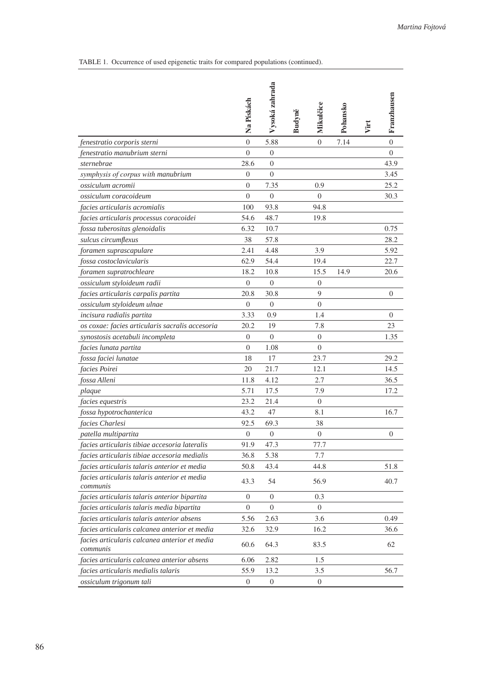Table 1. Occurrence of used epigenetic traits for compared populations (continued).

|                                                           | Na Pískách       | Vysoká zahrada   | Budyně | Mikulčice        | Pohansko | Virt | Franzhausen    |
|-----------------------------------------------------------|------------------|------------------|--------|------------------|----------|------|----------------|
| fenestratio corporis sterni                               | $\overline{0}$   | 5.88             |        | $\overline{0}$   | 7.14     |      | $\overline{0}$ |
| fenestratio manubrium sterni                              | $\overline{0}$   | $\overline{0}$   |        |                  |          |      | $\Omega$       |
| sternebrae                                                | 28.6             | $\theta$         |        |                  |          |      | 43.9           |
| symphysis of corpus with manubrium                        | $\overline{0}$   | $\Omega$         |        |                  |          |      | 3.45           |
| ossiculum acromii                                         | $\overline{0}$   | 7.35             |        | 0.9              |          |      | 25.2           |
| ossiculum coracoideum                                     | $\Omega$         | $\theta$         |        | 0                |          |      | 30.3           |
| facies articularis acromialis                             | 100              | 93.8             |        | 94.8             |          |      |                |
| facies articularis processus coracoidei                   | 54.6             | 48.7             |        | 19.8             |          |      |                |
| fossa tuberositas glenoidalis                             | 6.32             | 10.7             |        |                  |          |      | 0.75           |
| sulcus circumflexus                                       | 38               | 57.8             |        |                  |          |      | 28.2           |
| foramen suprascapulare                                    | 2.41             | 4.48             |        | 3.9              |          |      | 5.92           |
| fossa costoclavicularis                                   | 62.9             | 54.4             |        | 19.4             |          |      | 22.7           |
| foramen supratrochleare                                   | 18.2             | 10.8             |        | 15.5             | 14.9     |      | 20.6           |
| ossiculum styloideum radii                                | $\theta$         | $\overline{0}$   |        | $\overline{0}$   |          |      |                |
| facies articularis carpalis partita                       | 20.8             | 30.8             |        | 9                |          |      | $\overline{0}$ |
| ossiculum styloideum ulnae                                | $\theta$         | $\theta$         |        | $\theta$         |          |      |                |
| incisura radialis partita                                 | 3.33             | 0.9              |        | 1.4              |          |      | $\overline{0}$ |
| os coxae: facies articularis sacralis accesoria           | 20.2             | 19               |        | 7.8              |          |      | 23             |
| synostosis acetabuli incompleta                           | 0                | $\theta$         |        | $\overline{0}$   |          |      | 1.35           |
| facies lunata partita                                     | $\overline{0}$   | 1.08             |        | $\overline{0}$   |          |      |                |
| fossa faciei lunatae                                      | 18               | 17               |        | 23.7             |          |      | 29.2           |
| facies Poirei                                             | 20               | 21.7             |        | 12.1             |          |      | 14.5           |
| fossa Alleni                                              | 11.8             | 4.12             |        | 2.7              |          |      | 36.5           |
| plaque                                                    | 5.71             | 17.5             |        | 7.9              |          |      | 17.2           |
| facies equestris                                          | 23.2             | 21.4             |        | $\theta$         |          |      |                |
| fossa hypotrochanterica                                   | 43.2             | 47               |        | 8.1              |          |      | 16.7           |
| facies Charlesi                                           | 92.5             | 69.3             |        | 38               |          |      |                |
| patella multipartita                                      | $\theta$         | $\theta$         |        | $\theta$         |          |      | $\mathbf{0}$   |
| facies articularis tibiae accesoria lateralis             | 91.9             | 47.3             |        | 77.7             |          |      |                |
| facies articularis tibiae accesoria medialis              | 36.8             | 5.38             |        | 7.7              |          |      |                |
| facies articularis talaris anterior et media              | 50.8             | 43.4             |        | 44.8             |          |      | 51.8           |
| facies articularis talaris anterior et media<br>communis  | 43.3             | 54               |        | 56.9             |          |      | 40.7           |
| facies articularis talaris anterior bipartita             | 0                | $\boldsymbol{0}$ |        | 0.3              |          |      |                |
| facies articularis talaris media bipartita                | $\boldsymbol{0}$ | $\mathbf{0}$     |        | $\boldsymbol{0}$ |          |      |                |
| facies articularis talaris anterior absens                | 5.56             | 2.63             |        | 3.6              |          |      | 0.49           |
| facies articularis calcanea anterior et media             | 32.6             | 32.9             |        | 16.2             |          |      | 36.6           |
| facies articularis calcanea anterior et media<br>communis | 60.6             | 64.3             |        | 83.5             |          |      | 62             |
| facies articularis calcanea anterior absens               | 6.06             | 2.82             |        | 1.5              |          |      |                |
| facies articularis medialis talaris                       | 55.9             | 13.2             |        | 3.5              |          |      | 56.7           |
| ossiculum trigonum tali                                   | $\boldsymbol{0}$ | $\boldsymbol{0}$ |        | $\mathbf{0}$     |          |      |                |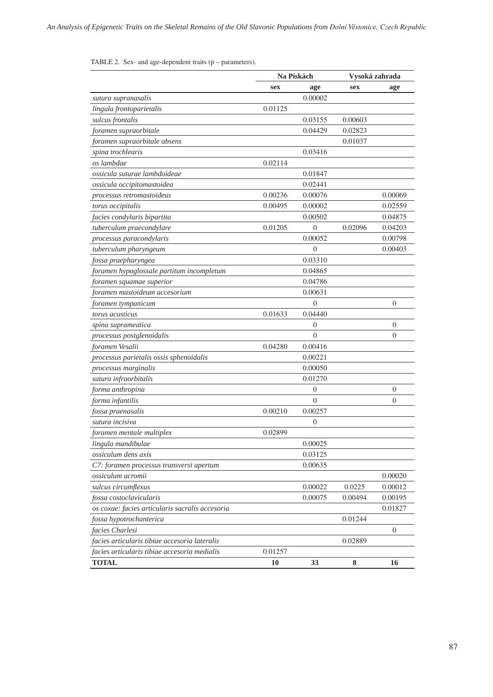|                                                 |         | Na Pískách       |         | Vysoká zahrada |
|-------------------------------------------------|---------|------------------|---------|----------------|
|                                                 | sex     | age              | sex     | age            |
| sutura supranasalis                             |         | 0.00002          |         |                |
| lingula frontoparietalis                        | 0.01125 |                  |         |                |
| sulcus frontalis                                |         | 0.03155          | 0.00603 |                |
| foramen supraorbitale                           |         | 0.04429          | 0.02823 |                |
| foramen supraorbitale absens                    |         |                  | 0.01037 |                |
| spina trochlearis                               |         | 0.03416          |         |                |
| os lambdae                                      | 0.02114 |                  |         |                |
| ossicula suturae lambdoideae                    |         | 0.01847          |         |                |
| ossicula occipitomastoidea                      |         | 0.02441          |         |                |
| processus retromastoideus                       | 0.00236 | 0.00076          |         | 0.00069        |
| torus occipitalis                               | 0.00495 | 0.00002          |         | 0.02559        |
| facies condylaris bipartita                     |         | 0.00502          |         | 0.04875        |
| tuberculum praecondylare                        | 0.01205 | $\theta$         | 0.02096 | 0.04203        |
| processus paracondylaris                        |         | 0.00052          |         | 0.00798        |
| tuberculum pharyngeum                           |         | 0                |         | 0.00403        |
| fossa praepharyngea                             |         | 0.03310          |         |                |
| foramen hypoglossale partitum incompletum       |         | 0.04865          |         |                |
| foramen squamae superior                        |         | 0.04786          |         |                |
| foramen mastoideum accesorium                   |         | 0.00631          |         |                |
| foramen tympanicum                              |         | $\theta$         |         | $\overline{0}$ |
| torus acusticus                                 | 0.01633 | 0.04440          |         |                |
| spina suprameatica                              |         | $\boldsymbol{0}$ |         | 0              |
| processus postglenoidalis                       |         | $\theta$         |         | 0              |
| foramen Vesalii                                 | 0.04280 | 0.00416          |         |                |
| processus parietalis ossis sphenoidalis         |         | 0.00221          |         |                |
| processus marginalis                            |         | 0.00050          |         |                |
| sutura infraorbitalis                           |         | 0.01270          |         |                |
| forma anthropina                                |         | $\boldsymbol{0}$ |         | 0              |
| forma infantilis                                |         | $\theta$         |         | 0              |
| fossa praenasalis                               | 0.00210 | 0.00257          |         |                |
| sutura incisiva                                 |         | $\overline{0}$   |         |                |
| foramen mentale multiplex                       | 0.02899 |                  |         |                |
| lingula mandibulae                              |         | 0.00025          |         |                |
| ossiculum dens axis                             |         | 0.03125          |         |                |
| C7: foramen processus transversi apertum        |         | 0.00635          |         |                |
| ossiculum acromii                               |         |                  |         | 0.00020        |
| sulcus circumflexus                             |         | 0.00022          | 0.0225  | 0.00012        |
| fossa costoclavicularis                         |         | 0.00075          | 0.00494 | 0.00195        |
| os coxae: facies articularis sacralis accesoria |         |                  |         | 0.01827        |
| fossa hypotrochanterica                         |         |                  | 0.01244 |                |
| facies Charlesi                                 |         |                  |         | $\overline{0}$ |
| facies articularis tibiae accesoria lateralis   |         |                  | 0.02889 |                |
| facies articularis tibiae accesoria medialis    | 0.01257 |                  |         |                |
| <b>TOTAL</b>                                    | 10      | 33               | 8       | 16             |

# TABLE 2. Sex- and age-dependent traits  $(p - parameters)$ .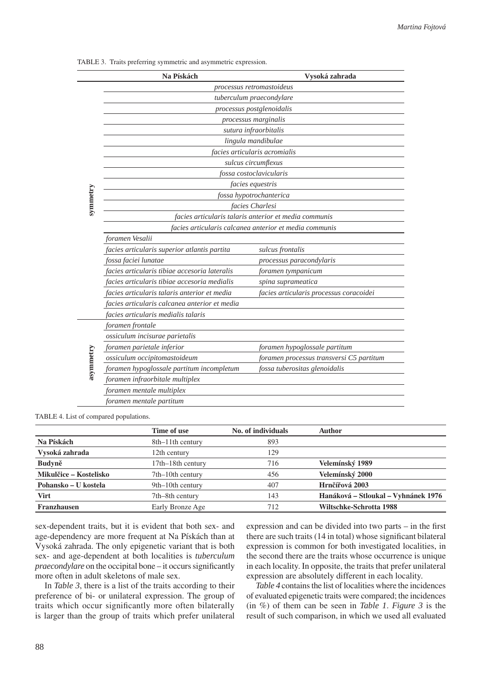|           | Na Pískách                                    | Vysoká zahrada                                         |
|-----------|-----------------------------------------------|--------------------------------------------------------|
|           |                                               | processus retromastoideus                              |
|           |                                               | tuberculum praecondylare                               |
|           |                                               | processus postglenoidalis                              |
|           |                                               | processus marginalis                                   |
|           |                                               | sutura infraorbitalis                                  |
|           |                                               | lingula mandibulae                                     |
|           |                                               | facies articularis acromialis                          |
|           |                                               | sulcus circumflexus                                    |
|           |                                               | fossa costoclavicularis                                |
|           |                                               | facies equestris                                       |
|           |                                               | fossa hypotrochanterica                                |
| symmetry  |                                               | facies Charlesi                                        |
|           |                                               | facies articularis talaris anterior et media communis  |
|           |                                               | facies articularis calcanea anterior et media communis |
|           | foramen Vesalii                               |                                                        |
|           | facies articularis superior atlantis partita  | sulcus frontalis                                       |
|           | fossa faciei lunatae                          | processus paracondylaris                               |
|           | facies articularis tibiae accesoria lateralis | foramen tympanicum                                     |
|           | facies articularis tibiae accesoria medialis  | spina suprameatica                                     |
|           | facies articularis talaris anterior et media  | facies articularis processus coracoidei                |
|           | facies articularis calcanea anterior et media |                                                        |
|           | facies articularis medialis talaris           |                                                        |
|           | foramen frontale                              |                                                        |
|           | ossiculum incisurae parietalis                |                                                        |
|           | foramen parietale inferior                    | foramen hypoglossale partitum                          |
| asymmetry | ossiculum occipitomastoideum                  | foramen processus transversi C5 partitum               |
|           | foramen hypoglossale partitum incompletum     | fossa tuberositas glenoidalis                          |
|           | foramen infraorbitale multiplex               |                                                        |
|           | foramen mentale multiplex                     |                                                        |
|           | foramen mentale partitum                      |                                                        |

Table 3. Traits preferring symmetric and asymmetric expression.

TABLE 4. List of compared populations.

|                        | Time of use       | No. of individuals | Author                              |
|------------------------|-------------------|--------------------|-------------------------------------|
| Na Pískách             | 8th–11th century  | 893                |                                     |
| Vysoká zahrada         | 12th century      | 129                |                                     |
| <b>Budyně</b>          | 17th–18th century | 716                | Velemínský 1989                     |
| Mikulčice – Kostelisko | 7th–10th century  | 456                | Velemínský 2000                     |
| Pohansko – U kostela   | 9th–10th century  | 407                | Hrnčířová 2003                      |
| <b>Virt</b>            | 7th–8th century   | 143                | Hanáková – Stloukal – Vyhnánek 1976 |
| <b>Franzhausen</b>     | Early Bronze Age  | 712                | Wiltschke-Schrotta 1988             |

sex-dependent traits, but it is evident that both sex- and age-dependency are more frequent at Na Pískách than at Vysoká zahrada. The only epigenetic variant that is both sex- and age-dependent at both localities is *tuberculum praecondylare* on the occipital bone – it occurs significantly more often in adult skeletons of male sex.

In *Table 3*, there is a list of the traits according to their preference of bi- or unilateral expression. The group of traits which occur significantly more often bilaterally is larger than the group of traits which prefer unilateral

expression and can be divided into two parts – in the first there are such traits (14 in total) whose significant bilateral expression is common for both investigated localities, in the second there are the traits whose occurrence is unique in each locality. In opposite, the traits that prefer unilateral expression are absolutely different in each locality.

*Table 4* contains the list of localities where the incidences of evaluated epigenetic traits were compared; the incidences (in %) of them can be seen in *Table 1*. *Figure 3* is the result of such comparison, in which we used all evaluated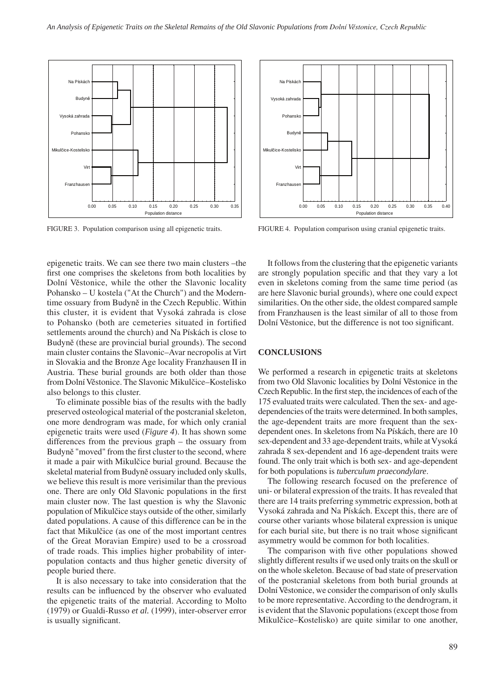

epigenetic traits. We can see there two main clusters –the first one comprises the skeletons from both localities by Dolní Věstonice, while the other the Slavonic locality Pohansko – U kostela ("At the Church") and the Moderntime ossuary from Budyně in the Czech Republic. Within this cluster, it is evident that Vysoká zahrada is close to Pohansko (both are cemeteries situated in fortified settlements around the church) and Na Pískách is close to Budyně (these are provincial burial grounds). The second main cluster contains the Slavonic–Avar necropolis at Virt in Slovakia and the Bronze Age locality Franzhausen II in Austria. These burial grounds are both older than those from Dolní Věstonice. The Slavonic Mikulčice–Kostelisko also belongs to this cluster.

To eliminate possible bias of the results with the badly preserved osteological material of the postcranial skeleton, one more dendrogram was made, for which only cranial epigenetic traits were used (*Figure 4*). It has shown some differences from the previous graph – the ossuary from Budyně "moved" from the first cluster to the second, where it made a pair with Mikulčice burial ground. Because the skeletal material from Budyně ossuary included only skulls, we believe this result is more verisimilar than the previous one. There are only Old Slavonic populations in the first main cluster now. The last question is why the Slavonic population of Mikulčice stays outside of the other, similarly dated populations. A cause of this difference can be in the fact that Mikulčice (as one of the most important centres of the Great Moravian Empire) used to be a crossroad of trade roads. This implies higher probability of interpopulation contacts and thus higher genetic diversity of people buried there.

It is also necessary to take into consideration that the results can be influenced by the observer who evaluated the epigenetic traits of the material. According to Molto (1979) or Gualdi-Russo *et al.* (1999), inter-observer error is usually significant.



FIGURE 3. Population comparison using all epigenetic traits. FIGURE 4. Population comparison using cranial epigenetic traits.

It follows from the clustering that the epigenetic variants are strongly population specific and that they vary a lot even in skeletons coming from the same time period (as are here Slavonic burial grounds), where one could expect similarities. On the other side, the oldest compared sample from Franzhausen is the least similar of all to those from Dolní Věstonice, but the difference is not too significant.

#### **CONCLUSIONS**

We performed a research in epigenetic traits at skeletons from two Old Slavonic localities by Dolní Věstonice in the Czech Republic. In the first step, the incidences of each of the 175 evaluated traits were calculated. Then the sex- and agedependencies of the traits were determined. In both samples, the age-dependent traits are more frequent than the sexdependent ones. In skeletons from Na Pískách, there are 10 sex-dependent and 33 age-dependent traits, while at Vysoká zahrada 8 sex-dependent and 16 age-dependent traits were found. The only trait which is both sex- and age-dependent for both populations is *tuberculum praecondylare*.

The following research focused on the preference of uni- or bilateral expression of the traits. It has revealed that there are 14 traits preferring symmetric expression, both at Vysoká zahrada and Na Pískách. Except this, there are of course other variants whose bilateral expression is unique for each burial site, but there is no trait whose significant asymmetry would be common for both localities.

The comparison with five other populations showed slightly different results if we used only traits on the skull or on the whole skeleton. Because of bad state of preservation of the postcranial skeletons from both burial grounds at Dolní Věstonice, we consider the comparison of only skulls to be more representative. According to the dendrogram, it is evident that the Slavonic populations (except those from Mikulčice–Kostelisko) are quite similar to one another,